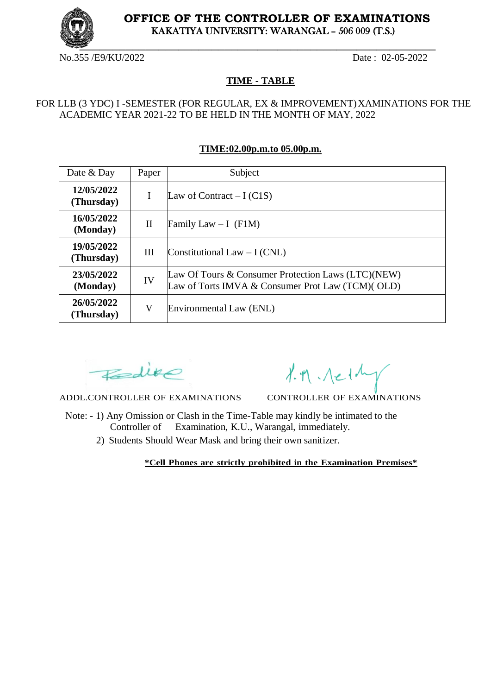

# **OFFICE OF THE CONTROLLER OF EXAMINATIONS** KAKATIYA UNIVERSITY: WARANGAL – 506 009 (T.S.)

No.355 /E9/KU/2022 Date: 02-05-2022

#### **TIME - TABLE**

FOR LLB (3 YDC) I -SEMESTER (FOR REGULAR, EX & IMPROVEMENT) XAMINATIONS FOR THE ACADEMIC YEAR 2021-22 TO BE HELD IN THE MONTH OF MAY, 2022

#### **TIME:02.00p.m.to 05.00p.m.**

| Date & Day               | Paper        | Subject                                                                                                  |
|--------------------------|--------------|----------------------------------------------------------------------------------------------------------|
| 12/05/2022<br>(Thursday) | I            | Law of Contract $-I (C1S)$                                                                               |
| 16/05/2022<br>(Monday)   | $\mathbf{I}$ | Family Law $-I$ (F1M)                                                                                    |
| 19/05/2022<br>(Thursday) | III          | Constitutional Law $-I (CNL)$                                                                            |
| 23/05/2022<br>(Monday)   | IV           | Law Of Tours & Consumer Protection Laws $(LTC)(NEW)$<br>Law of Torts IMVA & Consumer Prot Law (TCM)(OLD) |
| 26/05/2022<br>(Thursday) | V            | Environmental Law (ENL)                                                                                  |

 $\overline{d}$ 

ADDL.CONTROLLER OF EXAMINATIONS CONTROLLER OF EXAMINATIONS

 $1.7.1e1y$ 

- Note: 1) Any Omission or Clash in the Time-Table may kindly be intimated to the Controller of Examination, K.U., Warangal, immediately.
	- 2) Students Should Wear Mask and bring their own sanitizer.

**\*Cell Phones are strictly prohibited in the Examination Premises\***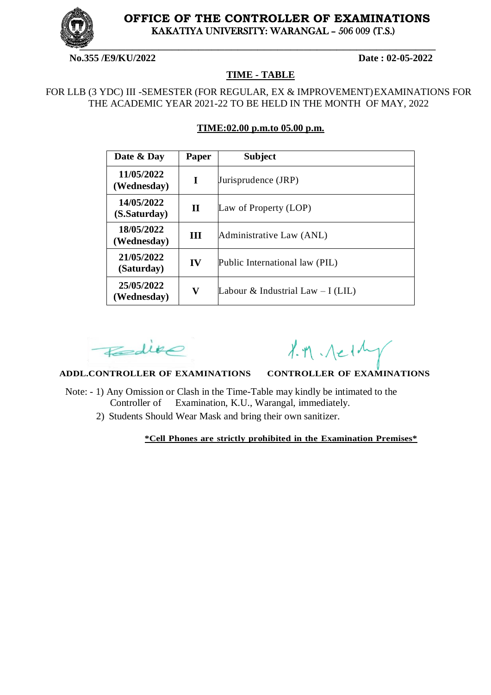

# **OFFICE OF THE CONTROLLER OF EXAMINATIONS** KAKATIYA UNIVERSITY: WARANGAL – 506 009 (T.S.)

# **No.355 /E9/KU/2022 Date : 02-05-2022**

#### **TIME - TABLE**

## FOR LLB (3 YDC) III -SEMESTER (FOR REGULAR, EX & IMPROVEMENT) EXAMINATIONS FOR THE ACADEMIC YEAR 2021-22 TO BE HELD IN THE MONTH OF MAY, 2022

| Date & Day                 | Paper        | <b>Subject</b>                     |
|----------------------------|--------------|------------------------------------|
| 11/05/2022<br>(Wednesday)  | T            | Jurisprudence (JRP)                |
| 14/05/2022<br>(S.Saturday) | $\mathbf H$  | Law of Property (LOP)              |
| 18/05/2022<br>(Wednesday)  | Ш            | Administrative Law (ANL)           |
| 21/05/2022<br>(Saturday)   | $\bf{IV}$    | Public International law (PIL)     |
| 25/05/2022<br>(Wednesday)  | $\mathbf{V}$ | Labour & Industrial Law $-I$ (LIL) |

## **TIME:02.00 p.m.to 05.00 p.m.**

Fedire

 $1.9.1e14$ 

#### **ADDL.CONTROLLER OF EXAMINATIONS CONTROLLER OF EXAMINATIONS**

- Note: 1) Any Omission or Clash in the Time-Table may kindly be intimated to the Controller of Examination, K.U., Warangal, immediately.
	- 2) Students Should Wear Mask and bring their own sanitizer.

**\*Cell Phones are strictly prohibited in the Examination Premises\***